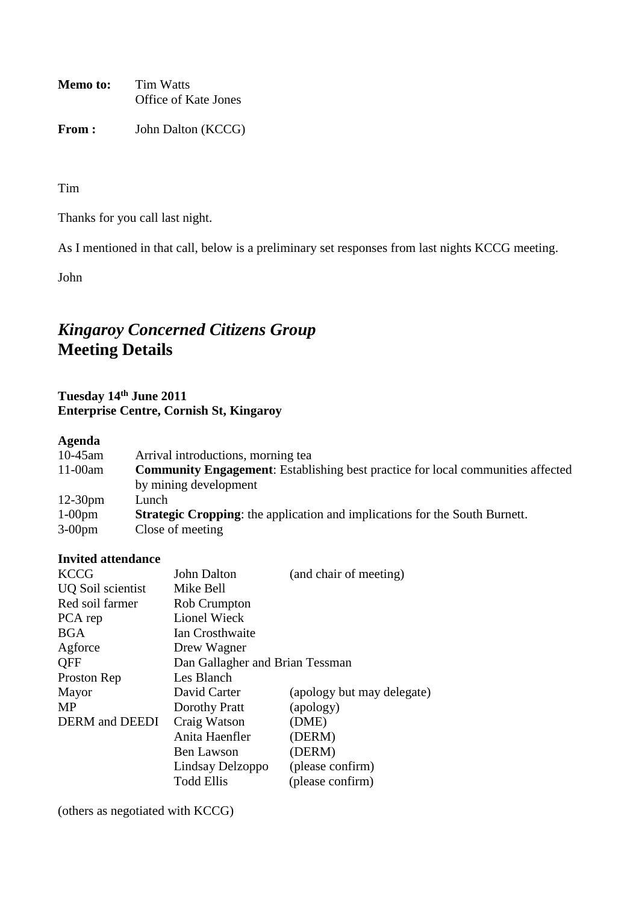**Memo to:** Tim Watts Office of Kate Jones

From : John Dalton (KCCG)

Tim

Thanks for you call last night.

As I mentioned in that call, below is a preliminary set responses from last nights KCCG meeting.

John

# *Kingaroy Concerned Citizens Group* **Meeting Details**

# **Tuesday 14th June 2011 Enterprise Centre, Cornish St, Kingaroy**

# **Agenda**

| $10-45$ am | Arrival introductions, morning tea                                                     |
|------------|----------------------------------------------------------------------------------------|
| $11-00$ am | <b>Community Engagement:</b> Establishing best practice for local communities affected |
|            | by mining development                                                                  |
| $12-30$ pm | Lunch                                                                                  |
| $1-00$ pm  | <b>Strategic Cropping:</b> the application and implications for the South Burnett.     |
| $3-00$ pm  | Close of meeting                                                                       |

# **Invited attendance**

| <b>KCCG</b>                  | John Dalton                     | (and chair of meeting)     |
|------------------------------|---------------------------------|----------------------------|
| UQ Soil scientist            | Mike Bell                       |                            |
| Red soil farmer              | <b>Rob Crumpton</b>             |                            |
| PCA rep                      | <b>Lionel Wieck</b>             |                            |
| <b>BGA</b>                   | Ian Crosthwaite                 |                            |
| Agforce                      | Drew Wagner                     |                            |
| <b>QFF</b>                   | Dan Gallagher and Brian Tessman |                            |
| Proston Rep                  | Les Blanch                      |                            |
| Mayor                        | David Carter                    | (apology but may delegate) |
| MP                           | Dorothy Pratt                   | (apology)                  |
| <b>DERM</b> and <b>DEEDI</b> | Craig Watson                    | (DME)                      |
|                              | Anita Haenfler                  | (DERM)                     |
|                              | <b>Ben Lawson</b>               | (DERM)                     |
|                              | Lindsay Delzoppo                | (please confirm)           |
|                              | <b>Todd Ellis</b>               | (please confirm)           |

(others as negotiated with KCCG)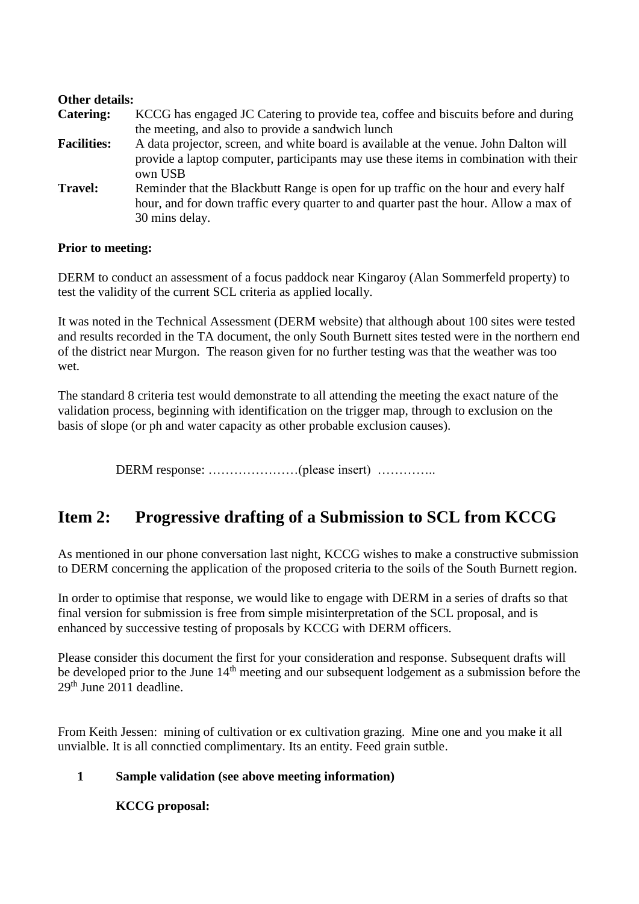### **Other details:**

| <b>Catering:</b>   | KCCG has engaged JC Catering to provide tea, coffee and biscuits before and during                                                                                                             |
|--------------------|------------------------------------------------------------------------------------------------------------------------------------------------------------------------------------------------|
|                    | the meeting, and also to provide a sandwich lunch                                                                                                                                              |
| <b>Facilities:</b> | A data projector, screen, and white board is available at the venue. John Dalton will<br>provide a laptop computer, participants may use these items in combination with their<br>own USB      |
| <b>Travel:</b>     | Reminder that the Blackbutt Range is open for up traffic on the hour and every half<br>hour, and for down traffic every quarter to and quarter past the hour. Allow a max of<br>30 mins delay. |

#### **Prior to meeting:**

DERM to conduct an assessment of a focus paddock near Kingaroy (Alan Sommerfeld property) to test the validity of the current SCL criteria as applied locally.

It was noted in the Technical Assessment (DERM website) that although about 100 sites were tested and results recorded in the TA document, the only South Burnett sites tested were in the northern end of the district near Murgon. The reason given for no further testing was that the weather was too wet.

The standard 8 criteria test would demonstrate to all attending the meeting the exact nature of the validation process, beginning with identification on the trigger map, through to exclusion on the basis of slope (or ph and water capacity as other probable exclusion causes).

DERM response: …………………(please insert) …………..

# **Item 2: Progressive drafting of a Submission to SCL from KCCG**

As mentioned in our phone conversation last night, KCCG wishes to make a constructive submission to DERM concerning the application of the proposed criteria to the soils of the South Burnett region.

In order to optimise that response, we would like to engage with DERM in a series of drafts so that final version for submission is free from simple misinterpretation of the SCL proposal, and is enhanced by successive testing of proposals by KCCG with DERM officers.

Please consider this document the first for your consideration and response. Subsequent drafts will be developed prior to the June 14<sup>th</sup> meeting and our subsequent lodgement as a submission before the 29<sup>th</sup> June 2011 deadline.

From Keith Jessen: mining of cultivation or ex cultivation grazing. Mine one and you make it all unvialble. It is all connctied complimentary. Its an entity. Feed grain sutble.

### **1 Sample validation (see above meeting information)**

**KCCG proposal:**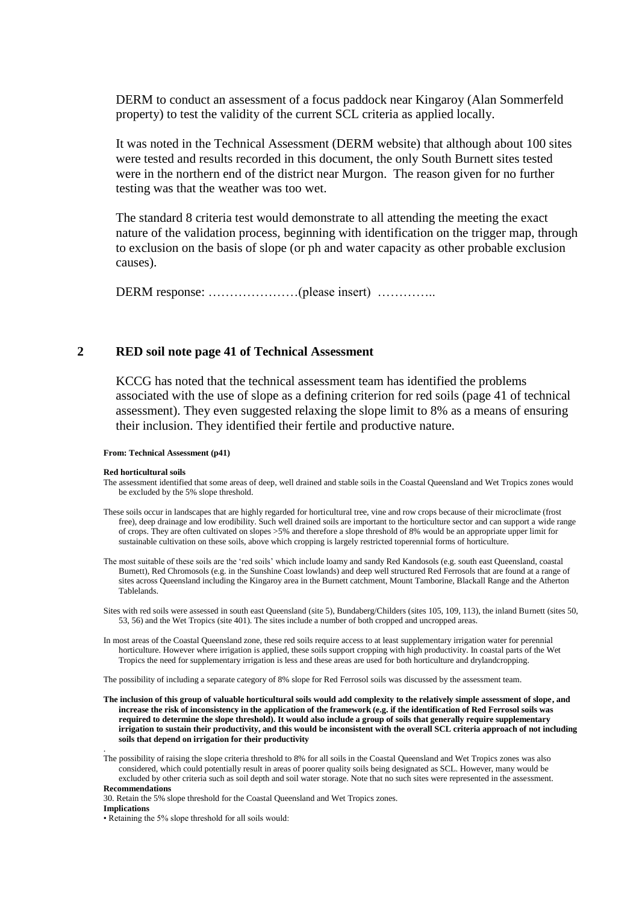DERM to conduct an assessment of a focus paddock near Kingaroy (Alan Sommerfeld property) to test the validity of the current SCL criteria as applied locally.

It was noted in the Technical Assessment (DERM website) that although about 100 sites were tested and results recorded in this document, the only South Burnett sites tested were in the northern end of the district near Murgon. The reason given for no further testing was that the weather was too wet.

The standard 8 criteria test would demonstrate to all attending the meeting the exact nature of the validation process, beginning with identification on the trigger map, through to exclusion on the basis of slope (or ph and water capacity as other probable exclusion causes).

DERM response: …………………(please insert) …………..

#### **2 RED soil note page 41 of Technical Assessment**

KCCG has noted that the technical assessment team has identified the problems associated with the use of slope as a defining criterion for red soils (page 41 of technical assessment). They even suggested relaxing the slope limit to 8% as a means of ensuring their inclusion. They identified their fertile and productive nature.

#### **From: Technical Assessment (p41)**

#### **Red horticultural soils**

- The assessment identified that some areas of deep, well drained and stable soils in the Coastal Queensland and Wet Tropics zones would be excluded by the 5% slope threshold.
- These soils occur in landscapes that are highly regarded for horticultural tree, vine and row crops because of their microclimate (frost free), deep drainage and low erodibility. Such well drained soils are important to the horticulture sector and can support a wide range of crops. They are often cultivated on slopes >5% and therefore a slope threshold of 8% would be an appropriate upper limit for sustainable cultivation on these soils, above which cropping is largely restricted toperennial forms of horticulture.
- The most suitable of these soils are the 'red soils' which include loamy and sandy Red Kandosols (e.g. south east Queensland, coastal Burnett), Red Chromosols (e.g. in the Sunshine Coast lowlands) and deep well structured Red Ferrosols that are found at a range of sites across Queensland including the Kingaroy area in the Burnett catchment, Mount Tamborine, Blackall Range and the Atherton Tablelands.
- Sites with red soils were assessed in south east Queensland (site 5), Bundaberg/Childers (sites 105, 109, 113), the inland Burnett (sites 50, 53, 56) and the Wet Tropics (site 401). The sites include a number of both cropped and uncropped areas.
- In most areas of the Coastal Queensland zone, these red soils require access to at least supplementary irrigation water for perennial horticulture. However where irrigation is applied, these soils support cropping with high productivity. In coastal parts of the Wet Tropics the need for supplementary irrigation is less and these areas are used for both horticulture and drylandcropping.

The possibility of including a separate category of 8% slope for Red Ferrosol soils was discussed by the assessment team.

- **The inclusion of this group of valuable horticultural soils would add complexity to the relatively simple assessment of slope, and increase the risk of inconsistency in the application of the framework (e.g. if the identification of Red Ferrosol soils was required to determine the slope threshold). It would also include a group of soils that generally require supplementary irrigation to sustain their productivity, and this would be inconsistent with the overall SCL criteria approach of not including soils that depend on irrigation for their productivity**
- The possibility of raising the slope criteria threshold to 8% for all soils in the Coastal Queensland and Wet Tropics zones was also considered, which could potentially result in areas of poorer quality soils being designated as SCL. However, many would be excluded by other criteria such as soil depth and soil water storage. Note that no such sites were represented in the assessment. **Recommendations**
- 30. Retain the 5% slope threshold for the Coastal Queensland and Wet Tropics zones.

**Implications**

.

• Retaining the 5% slope threshold for all soils would: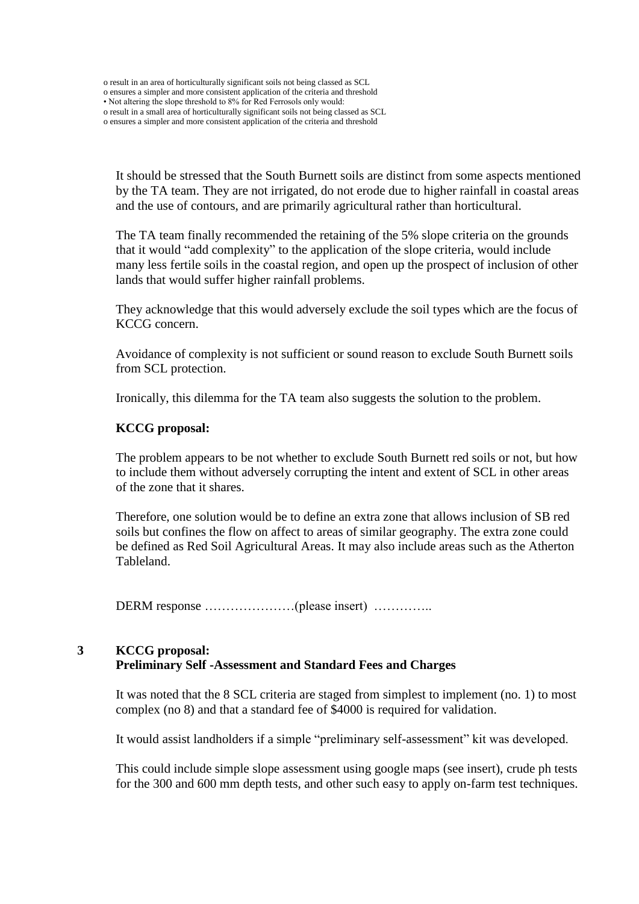o result in an area of horticulturally significant soils not being classed as SCL

- o ensures a simpler and more consistent application of the criteria and threshold
- Not altering the slope threshold to 8% for Red Ferrosols only would:
- o result in a small area of horticulturally significant soils not being classed as SCL

o ensures a simpler and more consistent application of the criteria and threshold

It should be stressed that the South Burnett soils are distinct from some aspects mentioned by the TA team. They are not irrigated, do not erode due to higher rainfall in coastal areas and the use of contours, and are primarily agricultural rather than horticultural.

The TA team finally recommended the retaining of the 5% slope criteria on the grounds that it would "add complexity" to the application of the slope criteria, would include many less fertile soils in the coastal region, and open up the prospect of inclusion of other lands that would suffer higher rainfall problems.

They acknowledge that this would adversely exclude the soil types which are the focus of KCCG concern.

Avoidance of complexity is not sufficient or sound reason to exclude South Burnett soils from SCL protection.

Ironically, this dilemma for the TA team also suggests the solution to the problem.

#### **KCCG proposal:**

The problem appears to be not whether to exclude South Burnett red soils or not, but how to include them without adversely corrupting the intent and extent of SCL in other areas of the zone that it shares.

Therefore, one solution would be to define an extra zone that allows inclusion of SB red soils but confines the flow on affect to areas of similar geography. The extra zone could be defined as Red Soil Agricultural Areas. It may also include areas such as the Atherton Tableland.

DERM response …………………(please insert) …………..

# **3 KCCG proposal:**

#### **Preliminary Self -Assessment and Standard Fees and Charges**

It was noted that the 8 SCL criteria are staged from simplest to implement (no. 1) to most complex (no 8) and that a standard fee of \$4000 is required for validation.

It would assist landholders if a simple "preliminary self-assessment" kit was developed.

This could include simple slope assessment using google maps (see insert), crude ph tests for the 300 and 600 mm depth tests, and other such easy to apply on-farm test techniques.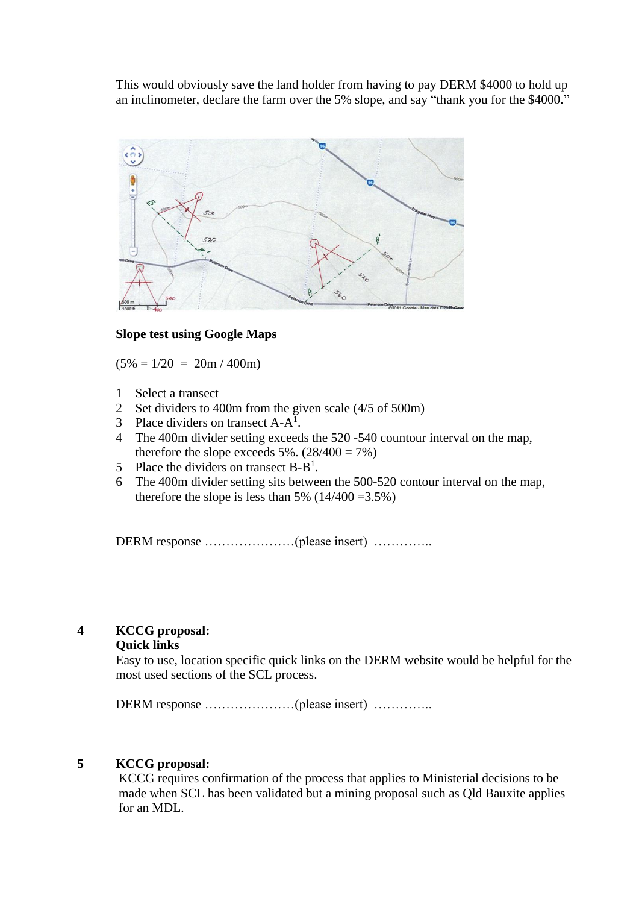This would obviously save the land holder from having to pay DERM \$4000 to hold up an inclinometer, declare the farm over the 5% slope, and say "thank you for the \$4000."



#### **Slope test using Google Maps**

 $(5\% = 1/20 = 20m / 400m)$ 

- 1 Select a transect
- 2 Set dividers to 400m from the given scale (4/5 of 500m)
- 3 Place dividers on transect  $A-A^1$ .
- 4 The 400m divider setting exceeds the 520 -540 countour interval on the map, therefore the slope exceeds 5%.  $(28/400 = 7%)$
- 5 Place the dividers on transect  $B B^1$ .
- 6 The 400m divider setting sits between the 500-520 contour interval on the map, therefore the slope is less than 5%  $(14/400 = 3.5\%)$

DERM response …………………(please insert) …………..

## **4 KCCG proposal:**

#### **Quick links**

Easy to use, location specific quick links on the DERM website would be helpful for the most used sections of the SCL process.

DERM response …………………(please insert) …………..

### **5 KCCG proposal:**

KCCG requires confirmation of the process that applies to Ministerial decisions to be made when SCL has been validated but a mining proposal such as Qld Bauxite applies for an MDL.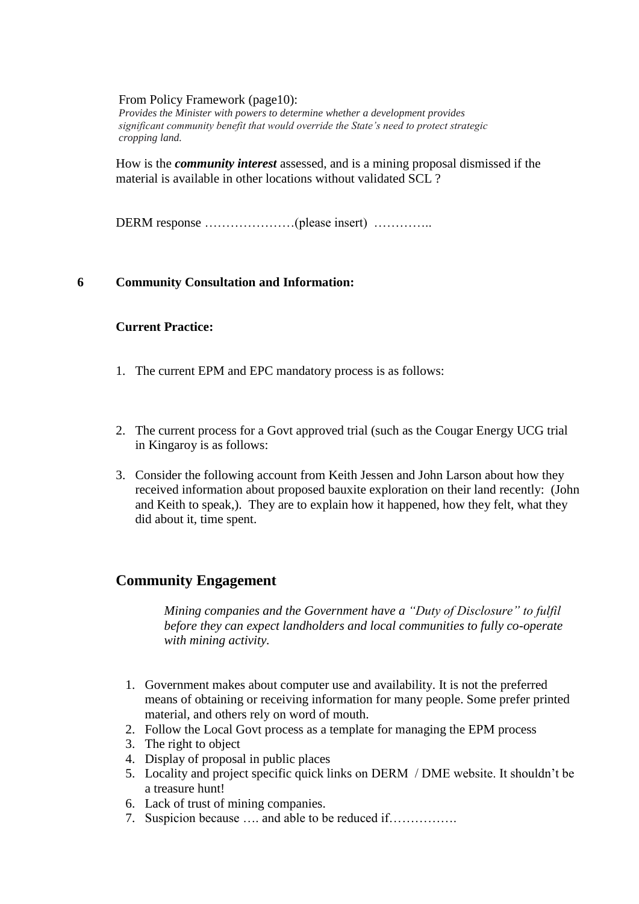#### From Policy Framework (page10):

*Provides the Minister with powers to determine whether a development provides significant community benefit that would override the State's need to protect strategic cropping land.*

How is the *community interest* assessed, and is a mining proposal dismissed if the material is available in other locations without validated SCL ?

DERM response …………………(please insert) …………..

#### **6 Community Consultation and Information:**

#### **Current Practice:**

- 1. The current EPM and EPC mandatory process is as follows:
- 2. The current process for a Govt approved trial (such as the Cougar Energy UCG trial in Kingaroy is as follows:
- 3. Consider the following account from Keith Jessen and John Larson about how they received information about proposed bauxite exploration on their land recently: (John and Keith to speak,). They are to explain how it happened, how they felt, what they did about it, time spent.

# **Community Engagement**

*Mining companies and the Government have a "Duty of Disclosure" to fulfil before they can expect landholders and local communities to fully co-operate with mining activity.*

- 1. Government makes about computer use and availability. It is not the preferred means of obtaining or receiving information for many people. Some prefer printed material, and others rely on word of mouth.
- 2. Follow the Local Govt process as a template for managing the EPM process
- 3. The right to object
- 4. Display of proposal in public places
- 5. Locality and project specific quick links on DERM / DME website. It shouldn't be a treasure hunt!
- 6. Lack of trust of mining companies.
- 7. Suspicion because …. and able to be reduced if…………….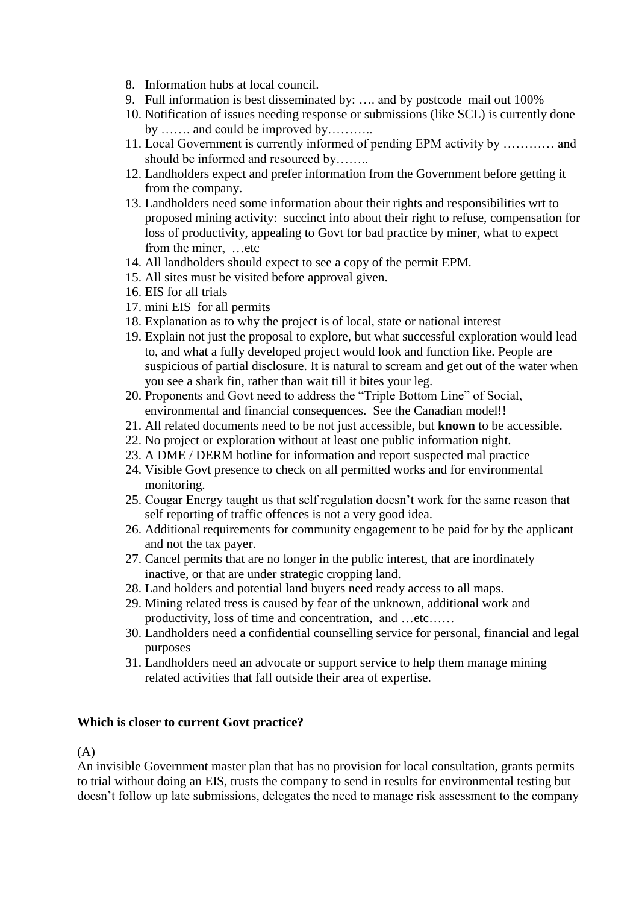- 8. Information hubs at local council.
- 9. Full information is best disseminated by: …. and by postcode mail out 100%
- 10. Notification of issues needing response or submissions (like SCL) is currently done by ……. and could be improved by………..
- 11. Local Government is currently informed of pending EPM activity by ………… and should be informed and resourced by……..
- 12. Landholders expect and prefer information from the Government before getting it from the company.
- 13. Landholders need some information about their rights and responsibilities wrt to proposed mining activity: succinct info about their right to refuse, compensation for loss of productivity, appealing to Govt for bad practice by miner, what to expect from the miner, …etc
- 14. All landholders should expect to see a copy of the permit EPM.
- 15. All sites must be visited before approval given.
- 16. EIS for all trials
- 17. mini EIS for all permits
- 18. Explanation as to why the project is of local, state or national interest
- 19. Explain not just the proposal to explore, but what successful exploration would lead to, and what a fully developed project would look and function like. People are suspicious of partial disclosure. It is natural to scream and get out of the water when you see a shark fin, rather than wait till it bites your leg.
- 20. Proponents and Govt need to address the "Triple Bottom Line" of Social, environmental and financial consequences. See the Canadian model!!
- 21. All related documents need to be not just accessible, but **known** to be accessible.
- 22. No project or exploration without at least one public information night.
- 23. A DME / DERM hotline for information and report suspected mal practice
- 24. Visible Govt presence to check on all permitted works and for environmental monitoring.
- 25. Cougar Energy taught us that self regulation doesn't work for the same reason that self reporting of traffic offences is not a very good idea.
- 26. Additional requirements for community engagement to be paid for by the applicant and not the tax payer.
- 27. Cancel permits that are no longer in the public interest, that are inordinately inactive, or that are under strategic cropping land.
- 28. Land holders and potential land buyers need ready access to all maps.
- 29. Mining related tress is caused by fear of the unknown, additional work and productivity, loss of time and concentration, and …etc……
- 30. Landholders need a confidential counselling service for personal, financial and legal purposes
- 31. Landholders need an advocate or support service to help them manage mining related activities that fall outside their area of expertise.

# **Which is closer to current Govt practice?**

(A)

An invisible Government master plan that has no provision for local consultation, grants permits to trial without doing an EIS, trusts the company to send in results for environmental testing but doesn't follow up late submissions, delegates the need to manage risk assessment to the company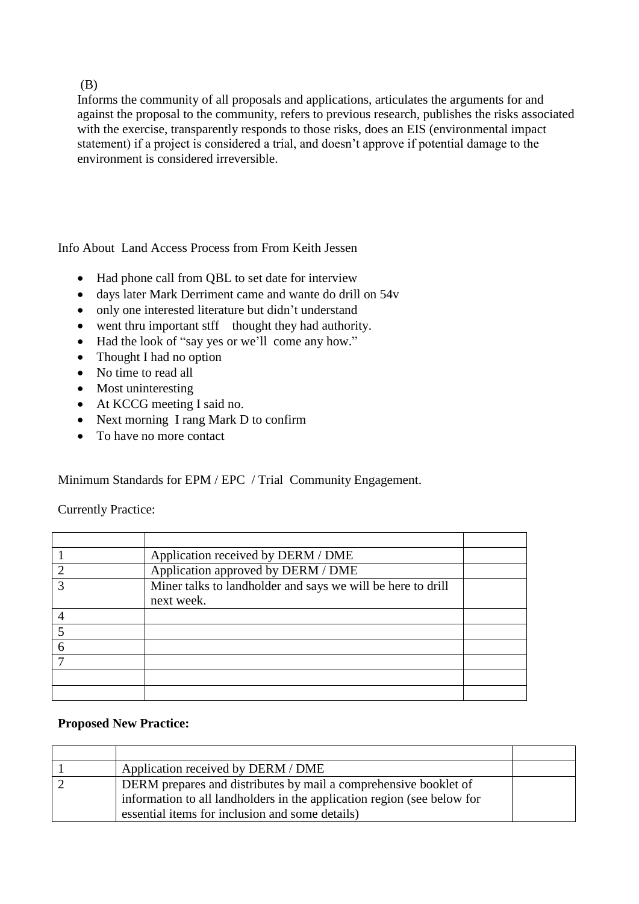(B)

Informs the community of all proposals and applications, articulates the arguments for and against the proposal to the community, refers to previous research, publishes the risks associated with the exercise, transparently responds to those risks, does an EIS (environmental impact statement) if a project is considered a trial, and doesn't approve if potential damage to the environment is considered irreversible.

Info About Land Access Process from From Keith Jessen

- Had phone call from QBL to set date for interview
- days later Mark Derriment came and wante do drill on 54v
- only one interested literature but didn't understand
- went thru important stff thought they had authority.
- Had the look of "say yes or we'll come any how."
- Thought I had no option
- No time to read all
- Most uninteresting
- At KCCG meeting I said no.
- Next morning I rang Mark D to confirm
- To have no more contact

Minimum Standards for EPM / EPC / Trial Community Engagement.

Currently Practice:

| Application received by DERM / DME                                        |  |
|---------------------------------------------------------------------------|--|
| Application approved by DERM / DME                                        |  |
| Miner talks to landholder and says we will be here to drill<br>next week. |  |
|                                                                           |  |
|                                                                           |  |
|                                                                           |  |
|                                                                           |  |
|                                                                           |  |
|                                                                           |  |

#### **Proposed New Practice:**

| Application received by DERM / DME                                      |  |
|-------------------------------------------------------------------------|--|
| DERM prepares and distributes by mail a comprehensive booklet of        |  |
| information to all landholders in the application region (see below for |  |
| essential items for inclusion and some details)                         |  |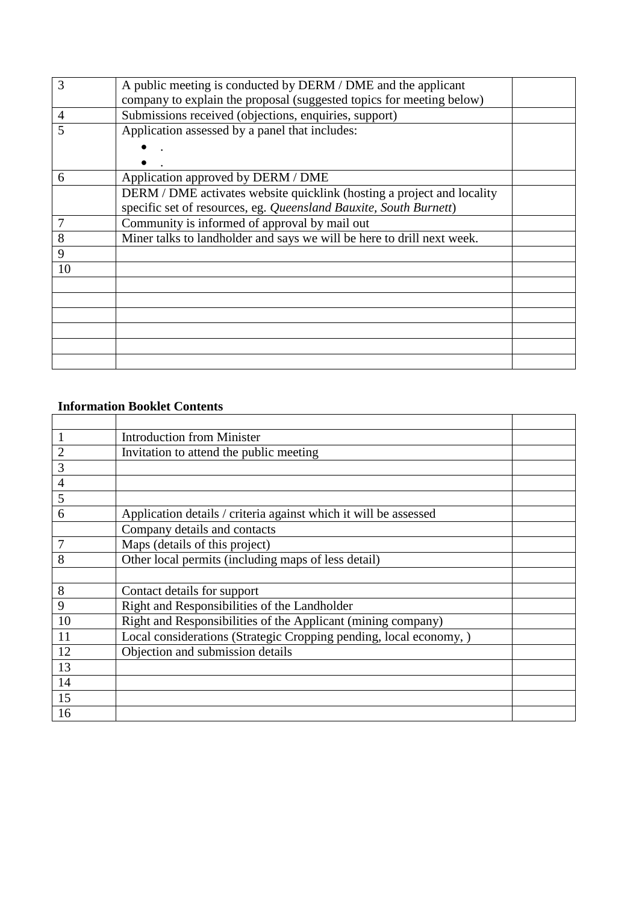| 3              | A public meeting is conducted by DERM / DME and the applicant          |  |
|----------------|------------------------------------------------------------------------|--|
|                | company to explain the proposal (suggested topics for meeting below)   |  |
| $\overline{4}$ | Submissions received (objections, enquiries, support)                  |  |
| 5              | Application assessed by a panel that includes:                         |  |
|                |                                                                        |  |
|                |                                                                        |  |
| 6              | Application approved by DERM / DME                                     |  |
|                | DERM / DME activates website quicklink (hosting a project and locality |  |
|                | specific set of resources, eg. Queensland Bauxite, South Burnett)      |  |
|                | Community is informed of approval by mail out                          |  |
| 8              | Miner talks to landholder and says we will be here to drill next week. |  |
| 9              |                                                                        |  |
| 10             |                                                                        |  |
|                |                                                                        |  |
|                |                                                                        |  |
|                |                                                                        |  |
|                |                                                                        |  |
|                |                                                                        |  |
|                |                                                                        |  |

# **Information Booklet Contents**

|                | <b>Introduction from Minister</b>                                  |  |
|----------------|--------------------------------------------------------------------|--|
| $\overline{2}$ | Invitation to attend the public meeting                            |  |
| 3              |                                                                    |  |
| 4              |                                                                    |  |
| 5              |                                                                    |  |
| 6              | Application details / criteria against which it will be assessed   |  |
|                | Company details and contacts                                       |  |
|                | Maps (details of this project)                                     |  |
| 8              | Other local permits (including maps of less detail)                |  |
|                |                                                                    |  |
| 8              | Contact details for support                                        |  |
| 9              | Right and Responsibilities of the Landholder                       |  |
| 10             | Right and Responsibilities of the Applicant (mining company)       |  |
| 11             | Local considerations (Strategic Cropping pending, local economy, ) |  |
| 12             | Objection and submission details                                   |  |
| 13             |                                                                    |  |
| 14             |                                                                    |  |
| 15             |                                                                    |  |
| 16             |                                                                    |  |